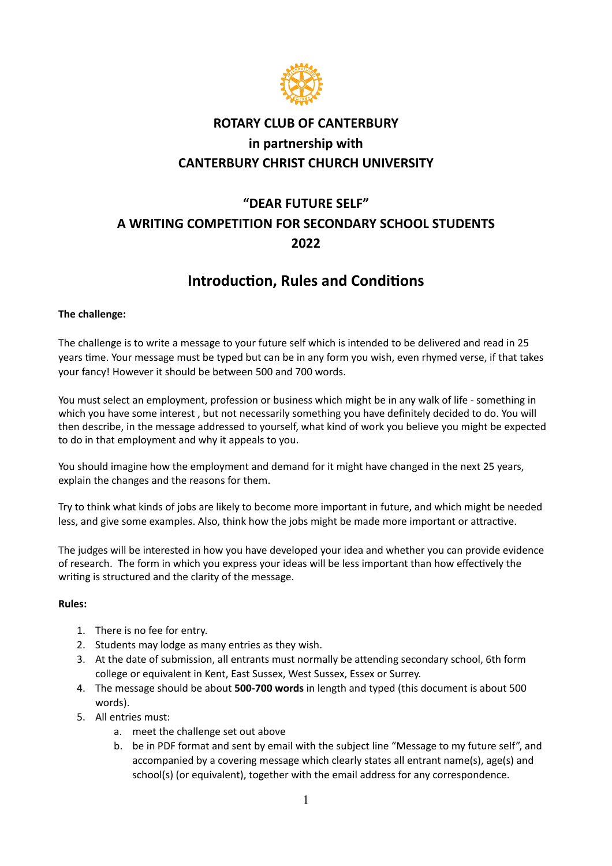

### **ROTARY CLUB OF CANTERBURY in partnership with CANTERBURY CHRIST CHURCH UNIVERSITY**

# **"DEAR FUTURE SELF" A WRITING COMPETITION FOR SECONDARY SCHOOL STUDENTS 2022**

## **Introduction, Rules and Conditions**

### **The challenge:**

The challenge is to write a message to your future self which is intended to be delivered and read in 25 years time. Your message must be typed but can be in any form you wish, even rhymed verse, if that takes your fancy! However it should be between 500 and 700 words.

You must select an employment, profession or business which might be in any walk of life - something in which you have some interest , but not necessarily something you have definitely decided to do. You will then describe, in the message addressed to yourself, what kind of work you believe you might be expected to do in that employment and why it appeals to you.

You should imagine how the employment and demand for it might have changed in the next 25 years, explain the changes and the reasons for them.

Try to think what kinds of jobs are likely to become more important in future, and which might be needed less, and give some examples. Also, think how the jobs might be made more important or attractive.

The judges will be interested in how you have developed your idea and whether you can provide evidence of research. The form in which you express your ideas will be less important than how effectively the writing is structured and the clarity of the message.

### **Rules:**

- 1. There is no fee for entry.
- 2. Students may lodge as many entries as they wish.
- 3. At the date of submission, all entrants must normally be attending secondary school, 6th form college or equivalent in Kent, East Sussex, West Sussex, Essex or Surrey.
- 4. The message should be about **500-700 words** in length and typed (this document is about 500 words).
- 5. All entries must:
	- a. meet the challenge set out above
	- b. be in PDF format and sent by email with the subject line "Message to my future self", and accompanied by a covering message which clearly states all entrant name(s), age(s) and school(s) (or equivalent), together with the email address for any correspondence.